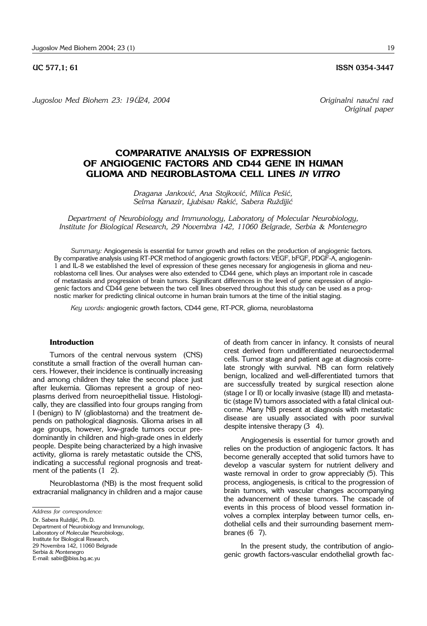*Jugoslov Med Biohem 23: 19–24, 2004 Originalni nau~ni rad*

# **COMPARATIVE ANALYSIS OF EXPRESSION OF ANGIOGENIC FACTORS AND CD44 GENE IN HUMAN GLIOMA AND NEUROBLASTOMA CELL LINES** *IN VITRO*

*Dragana Jankovi}, Ana Stojkovi}, Milica Pe{i}, Selma Kanazir, Ljubisav Raki}, Sabera Ru`diji}*

*Department of Neurobiology and Immunology, Laboratory of Molecular Neurobiology, Institute for Biological Research, 29 Novembra 142, 11060 Belgrade, Serbia* & *Montenegro*

*Summary:* Angiogenesis is essential for tumor growth and relies on the production of angiogenic factors. By comparative analysis using RT-PCR method of angiogenic growth factors: VEGF, bFGF, PDGF-A, angiogenin-1 and IL-8 we established the level of expression of these genes necessary for angiogenesis in glioma and neuroblastoma cell lines. Our analyses were also extended to CD44 gene, which plays an important role in cascade of metastasis and progression of brain tumors. Significant differences in the level of gene expression of angiogenic factors and CD44 gene between the two cell lines observed throughout this study can be used as a prognostic marker for predicting clinical outcome in human brain tumors at the time of the initial staging.

*Key words:* angiogenic growth factors, CD44 gene, RT-PCR, glioma, neuroblastoma

## **Introduction**

Tumors of the central nervous system (CNS) constitute a small fraction of the overall human cancers. However, their incidence is continually increasing and among children they take the second place just after leukemia. Gliomas represent a group of neoplasms derived from neuroepithelial tissue. Histologically, they are classified into four groups ranging from I (benign) to IV (glioblastoma) and the treatment depends on pathological diagnosis. Glioma arises in all age groups, however, low-grade tumors occur predominantly in children and high-grade ones in elderly people. Despite being characterized by a high invasive activity, glioma is rarely metastatic outside the CNS, indicating a successful regional prognosis and treatment of the patients  $(1 \ 2)$ .

Neuroblastoma (NB) is the most frequent solid extracranial malignancy in children and a major cause

*Address for correspondence:*

Dr. Sabera Ruždijić, Ph.D.

Department of Neurobiology and Immunology, Laboratory of Molecular Neurobiology, Institute for Biological Research, 29 Novembra 142, 11060 Belgrade Serbia & Montenegro E-mail: sabir@ibiss.bg.ac.yu

of death from cancer in infancy. It consists of neural crest derived from undifferentiated neuroectodermal cells. Tumor stage and patient age at diagnosis correlate strongly with survival. NB can form relatively benign, localized and well-differentiated tumors that are successfully treated by surgical resection alone (stage I or II) or locally invasive (stage III) and metastatic (stage IV) tumors associated with a fatal clinical outcome. Many NB present at diagnosis with metastatic disease are usually associated with poor survival despite intensive therapy (3 4).

Angiogenesis is essential for tumor growth and relies on the production of angiogenic factors. It has become generally accepted that solid tumors have to develop a vascular system for nutrient delivery and waste removal in order to grow appreciably (5). This process, angiogenesis, is critical to the progression of brain tumors, with vascular changes accompanying the advancement of these tumors. The cascade of events in this process of blood vessel formation involves a complex interplay between tumor cells, endothelial cells and their surrounding basement membranes  $(6\ 7)$ .

In the present study, the contribution of angiogenic growth factors-vascular endothelial growth fac-

**UC 577,1; 61 ISSN 0354-3447** 

*Original paper*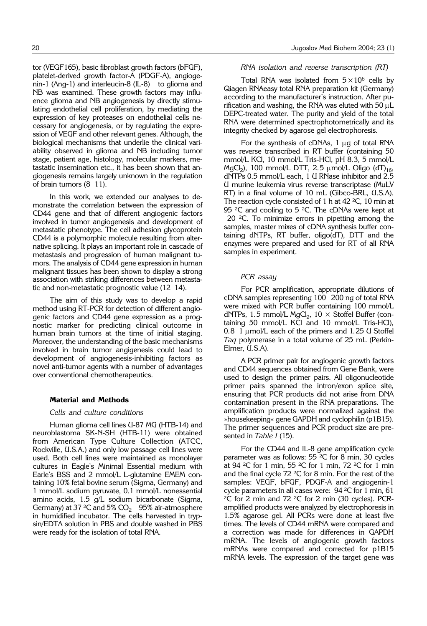tor (VEGF165), basic fibroblast growth factors (bFGF), platelet-derived growth factor-A (PDGF-A), angiogenin-1 (Ang-1) and interleucin-8 (IL-8) ' to glioma and NB was examined. These growth factors may influence glioma and NB angiogenesis by directly stimulating endothelial cell proliferation, by mediating the expression of key proteases on endothelial cells necessary for angiogenesis, or by regulating the expression of VEGF and other relevant genes. Although, the biological mechanisms that underlie the clinical variability observed in glioma and NB including tumor stage, patient age, histology, molecular markers, metastatic insemination etc., it has been shown that angiogenesis remains largely unknown in the regulation of brain tumors  $(8 \t11)$ .

In this work, we extended our analyses to demonstrate the correlation between the expression of CD44 gene and that of different angiogenic factors involved in tumor angiogenesis and development of metastatic phenotype. The cell adhesion glycoprotein CD44 is a polymorphic molecule resulting from alternative splicing. It plays an important role in cascade of metastasis and progression of human malignant tumors. The analysis of CD44 gene expression in human malignant tissues has been shown to display a strong association with striking differences between metastatic and non-metastatic prognostic value  $(12 \t14)$ .

The aim of this study was to develop a rapid method using RT-PCR for detection of different angiogenic factors and CD44 gene expression as a prognostic marker for predicting clinical outcome in human brain tumors at the time of initial staging. Moreover, the understanding of the basic mechanisms involved in brain tumor angigenesis could lead to development of angiogenesis-inhibiting factors as novel anti-tumor agents with a number of advantages over conventional chemotherapeutics.

#### **Material and Methods**

#### *Cells and culture conditions*

Human glioma cell lines U-87 MG (HTB-14) and neuroblastoma SK-N-SH (HTB-11) were obtained from American Type Culture Collection (ATCC, Rockville, U.S.A.) and only low passage cell lines were used. Both cell lines were maintained as monolayer cultures in Eagle's Minimal Essential medium with Earle's BSS and 2 mmol/L L-glutamine EMEM containing 10% fetal bovine serum (Sigma, Germany) and 1 mmol/L sodium pyruvate, 0.1 mmol/L nonessential amino acids, 1.5 g/L sodium bicarbonate (Sigma, Germany) at 37 <sup>2</sup>C and 5% CO $_2$   $\,$  95% air-atmosphere in humidified incubator. The cells harvested in trypsin/EDTA solution in PBS and double washed in PBS were ready for the isolation of total RNA.

#### *RNA isolation and reverse transcription (RT)*

Total RNA was isolated from  $5 \times 10^6$  cells by Qiagen RNAeasy total RNA preparation kit (Germany) according to the manufacturer's instruction. After purification and washing, the RNA was eluted with 50  $\mu$ L DEPC-treated water. The purity and yield of the total RNA were determined spectrophotometrically and its integrity checked by agarose gel electrophoresis.

For the synthesis of cDNAs,  $1 \mu g$  of total RNA was reverse transcribed in RT buffer (containing 50 mmol/L KCl, 10 mmol/L Tris-HCl, pH 8.3, 5 mmol/L MgCl<sub>2</sub>), 100 mmol/L DTT, 2.5  $\mu$ mol/L Oligo (dT)<sub>16</sub>, dNTPs 0.5 mmol/L each, 1 U RNase inhibitor and 2.5 U murine leukemia virus reverse transcriptase (MuLV RT) in a final volume of 10 mL (Gibco-BRL, U.S.A). The reaction cycle consisted of 1 h at 42  $2^{\circ}$ C, 10 min at 95 $^2C$  and cooling to 5 $^2C$ . The cDNAs were kept at 20 $^2$ C. To minimize errors in pipetting among the samples, master mixes of cDNA synthesis buffer containing dNTPs, RT buffer, oligo(dT), DTT and the enzymes were prepared and used for RT of all RNA samples in experiment.

#### *PCR assay*

For PCR amplification, appropriate dilutions of cDNA samples representing 100 200 ng of total RNA were mixed with PCR buffer containing 100 mmol/L dNTPs, 1.5 mmol/L MgCl<sub>2</sub>, 10  $\times$  Stoffel Buffer (containing 50 mmol/L KCl and 10 mmol/L Tris-HCl), 0.8 1  $\mu$ mol/L each of the primers and 1.25 U Stoffel *Taq* polymerase in a total volume of 25 mL (Perkin-Elmer, U.S.A).

A PCR primer pair for angiogenic growth factors and CD44 sequences obtained from Gene Bank, were used to design the primer pairs. All oligonucleotide primer pairs spanned the intron/exon splice site, ensuring that PCR products did not arise from DNA contamination present in the RNA preparations. The amplification products were normalized against the »housekeeping« gene GAPDH and cyclophilin (p1B15). The primer sequences and PCR product size are presented in *Table I* (15).

For the CD44 and IL-8 gene amplification cycle parameter was as follows:  $55 \, {}^2C$  for 8 min, 30 cycles at 94  ${}^{2}C$  for 1 min, 55  ${}^{2}C$  for 1 min, 72  ${}^{2}C$  for 1 min and the final cycle 72  $^2C$  for 8 min. For the rest of the samples: VEGF, bFGF, PDGF-A and angiogenin-1 cycle parameters in all cases were:  $94\,^2C$  for 1 min, 61  $^2C$  for 2 min and 72  $^2C$  for 2 min (30 cycles). PCRamplified products were analyzed by electrophoresis in 1.5% agarose gel. All PCRs were done at least five times. The levels of CD44 mRNA were compared and a correction was made for differences in GAPDH mRNA. The levels of angiogenic growth factors mRNAs were compared and corrected for p1B15 mRNA levels. The expression of the target gene was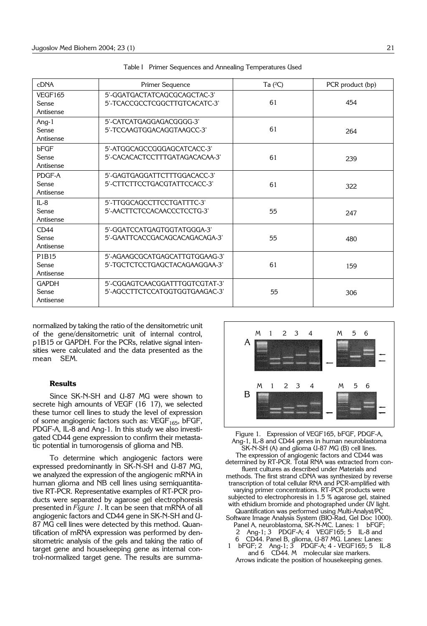| <b>cDNA</b>                        | Primer Sequence                                                  | Ta $(2C)$ | PCR product (bp) |
|------------------------------------|------------------------------------------------------------------|-----------|------------------|
| VEGF165<br>Sense<br>Antisense      | 5'-GGATGACTATCAGCGCAGCTAC-3'<br>5'-TCACCGCCTCGGCTTGTCACATC-3'    | 61        | 454              |
| Ang-1<br>Sense<br>Antisense        | 5'-CATCATGAGGAGACGGGG-3'<br>5'-TCCAAGTGGACAGGTAAGCC-3'           | 61        | 264              |
| bFGF<br>Sense<br>Antisense         | 5'-ATGGCAGCCGGGAGCATCACC-3'<br>5'-CACACACTCCTTTGATAGACACAA-3'    | 61        | 239              |
| PDGF-A<br>Sense<br>Antisense       | 5'-GAGTGAGGATTCTTTGGACACC-3'<br>5'-CTTCTTCCTGACGTATTCCACC-3'     | 61        | 322              |
| $IL-8$<br>Sense<br>Antisense       | 5'-TTGGCAGCCTTCCTGATTTC-3'<br>5'-AACTTCTCCACAACCCTCCTG-3'        | 55        | 247              |
| CD44<br>Sense<br>Antisense         | 5'-GGATCCATGAGTGGTATGGGA-3'<br>5'-GAATTCACCGACAGCACAGACAGA-3'    | 55        | 480              |
| P1B15<br>Sense<br>Antisense        | 5'-AGAAGCGCATGAGCATTGTGGAAG-3'<br>5'-TGCTCTCCTGAGCTACAGAAGGAA-3' | 61        | 159              |
| <b>GAPDH</b><br>Sense<br>Antisense | 5'-CGGAGTCAACGGATTTGGTCGTAT-3'<br>5'-AGCCTTCTCCATGGTGGTGAAGAC-3' | 55        | 306              |

|  |  | Table I Primer Sequences and Annealing Temperatures Used |  |
|--|--|----------------------------------------------------------|--|
|  |  |                                                          |  |

normalized by taking the ratio of the densitometric unit of the gene/densitometric unit of internal control, p1B15 or GAPDH. For the PCRs, relative signal intensities were calculated and the data presented as the mean SEM.

### **Results**

Since SK-N-SH and U-87 MG were shown to secrete high amounts of VEGF (16 17), we selected these tumor cell lines to study the level of expression of some angiogenic factors such as:  $VEGF<sub>165</sub>$ , bFGF, PDGF-A, IL-8 and Ang-1. In this study we also investigated CD44 gene expression to confirm their metastatic potential in tumorogensis of glioma and NB.

To determine which angiogenic factors were expressed predominantly in SK-N-SH and U-87 MG, we analyzed the expression of the angiogenic mRNA in human glioma and NB cell lines using semiquantitative RT-PCR. Representative examples of RT-PCR products were separated by agarose gel electrophoresis presented in *Figure 1*. It can be seen that mRNA of all angiogenic factors and CD44 gene in SK-N-SH and U-87 MG cell lines were detected by this method. Quantification of mRNA expression was performed by densitometric analysis of the gels and taking the ratio of target gene and housekeeping gene as internal control-normalized target gene. The results are summa-



Figure 1. Expression of VEGF165, bFGF, PDGF-A, Ang-1, IL-8 and CD44 genes in human neuroblastoma SK-N-SH (A) and glioma U-87 MG (B) cell lines. The expression of angiogenic factors and CD44 was determined by RT-PCR. Total RNA was extracted from confluent cultures as described under Materials and methods. The first strand cDNA was synthesized by reverse transcription of total cellular RNA and PCR-amplified with varying primer concentrations. RT-PCR products were subjected to electrophoresis in 1.5 % agarose gel, stained with ethidium bromide and photographed under UV light. Quantification was performed using Multi-Analyst/PC Software Image Analysis System (BIO-Rad, Gel Doc 1000). Panel A, neuroblastoma, SK-N-MC. Lanes: 1 bFGF; 2 Ang-1; 3 PDGF-A; 4 VEGF165; 5 IL-8 and 6 ' CD44. Panel B, glioma, U-87 MG. Lanes: Lanes: 1 bFGF; 2 Ang-1; 3 PDGF-A; 4 - VEGF165; 5 IL-8 and  $6$   $\overrightarrow{CD44}$ . M  $\overrightarrow{m}$  molecular size markers.

Arrows indicate the position of housekeeping genes.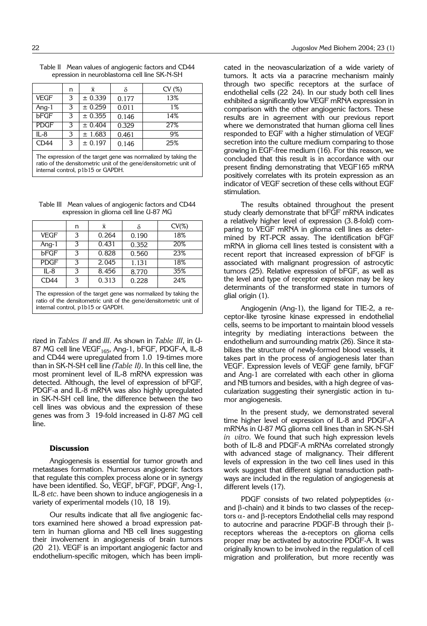|             | n | $\bar{x}$ |       | CV(%) |
|-------------|---|-----------|-------|-------|
| <b>VEGF</b> | З | ± 0.339   | 0.177 | 13%   |
| Ang-1       | 3 | ± 0.259   | 0.011 | $1\%$ |
| bFGF        | 3 | ± 0.355   | 0.146 | 14%   |
| <b>PDGF</b> | З | ± 0.404   | 0.329 | 27%   |
| $IL-8$      | 3 | ± 1.683   | 0.461 | 9%    |
| CD44        | 3 | ± 0.197   | 0.146 | 25%   |

| Table II Mean values of angiogenic factors and CD44 |
|-----------------------------------------------------|
| epression in neuroblastoma cell line SK-N-SH        |

The expression of the target gene was normalized by taking the ratio of the densitometric unit of the gene/densitometric unit of internal control, p1b15 or GAPDH.

Table III Mean values of angiogenic factors and CD44 expression in glioma cell line U-87 MG

|                                                                                                                                                                          | n | $\bar{x}$ |       | $CV(\%)$ |  |
|--------------------------------------------------------------------------------------------------------------------------------------------------------------------------|---|-----------|-------|----------|--|
| <b>VEGF</b>                                                                                                                                                              | 3 | 0.264     | 0.190 | 18%      |  |
| Ang-1                                                                                                                                                                    | З | 0.431     | 0.352 | 20%      |  |
| <b>bFGF</b>                                                                                                                                                              | 3 | 0.828     | 0.560 | 23%      |  |
| <b>PDGF</b>                                                                                                                                                              | 3 | 2.045     | 1.131 | 18%      |  |
| $IL - 8$                                                                                                                                                                 | 3 | 8.456     | 8.770 | 35%      |  |
| CD44<br>3<br>0.313<br>24%<br>0.228                                                                                                                                       |   |           |       |          |  |
| The expression of the target gene was normalized by taking the<br>ratio of the densitometric unit of the gene/densitometric unit of<br>internal control, p1b15 or GAPDH. |   |           |       |          |  |

rized in *Tables II* and *III*. As shown in *Table III*, in U-87 MG cell line VEGF<sub>165</sub>, Ang-1, bFGF, PDGF-A, IL-8 and CD44 were upregulated from 1.0 19-times more than in SK-N-SH cell line *(Table II)*. In this cell line, the most prominent level of IL-8 mRNA expression was detected. Although, the level of expression of bFGF, PDGF-a and IL-8 mRNA was also highly upregulated in SK-N-SH cell line, the difference between the two cell lines was obvious and the expression of these genes was from 3 19-fold increased in U-87 MG cell line.

## **Discussion**

Angiogenesis is essential for tumor growth and metastases formation. Numerous angiogenic factors that regulate this complex process alone or in synergy have been identified. So, VEGF, bFGF, PDGF, Ang-1, IL-8 *etc*. have been shown to induce angiogenesis in a variety of experimental models (10, 18 19).

Our results indicate that all five angiogenic factors examined here showed a broad expression pattern in human glioma and NB cell lines suggesting their involvement in angiogenesis of brain tumors (20 21). VEGF is an important angiogenic factor and endothelium-specific mitogen, which has been implicated in the neovascularization of a wide variety of tumors. It acts via a paracrine mechanism mainly through two specific receptors at the surface of endothelial cells (22-24). In our study both cell lines exhibited a significantly low VEGF mRNA expression in comparison with the other angiogenic factors. These results are in agreement with our previous report where we demonstrated that human glioma cell lines responded to EGF with a higher stimulation of VEGF secretion into the culture medium comparing to those growing in EGF-free medium (16). For this reason, we concluded that this result is in accordance with our present finding demonstrating that VEGF165 mRNA positively correlates with its protein expression as an indicator of VEGF secretion of these cells without EGF stimulation.

The results obtained throughout the present study clearly demonstrate that bFGF mRNA indicates a relatively higher level of expression (3.8-fold) comparing to VEGF mRNA in glioma cell lines as determined by RT-PCR assay. The identification bFGF mRNA in glioma cell lines tested is consistent with a recent report that increased expression of bFGF is associated with malignant progression of astrocytic tumors (25). Relative expression of bFGF, as well as the level and type of receptor expression may be key determinants of the transformed state in tumors of glial origin (1).

Angiogenin (Ang-1), the ligand for TIE-2, a receptor-like tyrosine kinase expressed in endothelial cells, seems to be important to maintain blood vessels integrity by mediating interactions between the endothelium and surrounding matrix (26). Since it stabilizes the structure of newly-formed blood vessels, it takes part in the process of angiogenesis later than VEGF. Expression levels of VEGF gene family, bFGF and Ang-1 are correlated with each other in glioma and NB tumors and besides, with a high degree of vascularization suggesting their synergistic action in tumor angiogenesis.

In the present study, we demonstrated several time higher level of expression of IL-8 and PDGF-A mRNAs in U-87 MG glioma cell lines than in SK-N-SH *in vitro*. We found that such high expression levels both of IL-8 and PDGF-A mRNAs correlated strongly with advanced stage of malignancy. Their different levels of expression in the two cell lines used in this work suggest that different signal transduction pathways are included in the regulation of angiogenesis at different levels (17).

PDGF consists of two related polypeptides ( $\alpha$ and  $\beta$ -chain) and it binds to two classes of the receptors  $\alpha$ - and  $\beta$ -receptors Endothelial cells may respond to autocrine and paracrine PDGF-B through their  $\beta$ receptors whereas the a-receptors on glioma cells proper may be activated by autocrine PDGF-A. It was originally known to be involved in the regulation of cell migration and proliferation, but more recently was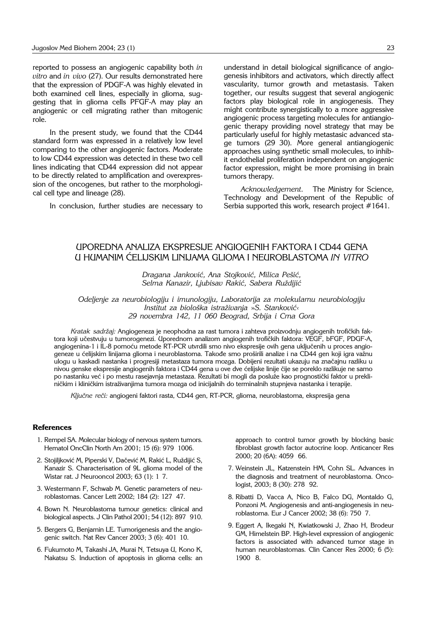reported to possess an angiogenic capability both *in vitro* and *in vivo* (27). Our results demonstrated here that the expression of PDGF-A was highly elevated in both examined cell lines, especially in glioma, suggesting that in glioma cells PFGF-A may play an angiogenic or cell migrating rather than mitogenic role.

In the present study, we found that the CD44 standard form was expressed in a relatively low level comparing to the other angiogenic factors. Moderate to low CD44 expression was detected in these two cell lines indicating that CD44 expression did not appear to be directly related to amplification and overexpression of the oncogenes, but rather to the morphological cell type and lineage (28).

In conclusion, further studies are necessary to

understand in detail biological significance of angiogenesis inhibitors and activators, which directly affect vascularity, tumor growth and metastasis. Taken together, our results suggest that several angiogenic factors play biological role in angiogenesis. They might contribute synergistically to a more aggressive angiogenic process targeting molecules for antiangiogenic therapy providing novel strategy that may be particularly useful for highly metastasic advanced stage tumors (29 30). More general antiangiogenic approaches using synthetic small molecules, to inhibit endothelial proliferation independent on angiogenic factor expression, might be more promising in brain tumors therapy.

*Acknowledgement*. ' The Ministry for Science, Technology and Development of the Republic of Serbia supported this work, research project #1641.

## UPOREDNA ANALIZA EKSPRESIJE ANGIOGENIH FAKTORA I CD44 GENA U HUMANIM ]ELIJSKIM LINIJAMA GLIOMA I NEUROBLASTOMA *IN VITRO*

*Dragana Jankovi}, Ana Stojkovi}, Milica Pe{i}, Selma Kanazir, Ljubisav Raki}, Sabera Ru`diji}*

*Odeljenje za neurobiologiju i imunologiju, Laboratorija za molekularnu neurobiologiju Institut za biolo{ka istra`ivanja* »*S. Stankovi}« 29 novembra 142, 11 060 Beograd, Srbija i Crna Gora*

Kratak sadržaj: Angiogeneza je neophodna za rast tumora i zahteva proizvodnju angiogenih trofičkih faktora koji učestvuju u tumorogenezi. Uporednom analizom angiogenih trofičkih faktora: VEGF, bFGF, PDGF-A, angiogenina-1 i IL-8 pomoću metode RT-PCR utvrdili smo nivo ekspresije ovih gena uključenih u proces angiogeneze u ćelijskim linijama glioma i neuroblastoma. Takođe smo proširili analize i na CD44 gen koji igra važnu ulogu u kaskadi nastanka i progresiji metastaza tumora mozga. Dobijeni rezultati ukazuju na značajnu razliku u nivou genske ekspresije angiogenih faktora i CD44 gena u ove dve ćelijske linije čije se poreklo razlikuje ne samo po nastanku već i po mestu rasejavnja metastaza. Rezultati bi mogli da posluže kao prognostički faktor u prekliničkim i kliničkim istraživanjima tumora mozga od inicijalnih do terminalnih stupnjeva nastanka i terapije.

Ključne reči: angiogeni faktori rasta, CD44 gen, RT-PCR, glioma, neuroblastoma, ekspresija gena

#### **References**

- 1. Rempel SA. Molecular biology of nervous system tumors. Hematol OncClin North Am 2001; 15 (6): 979 1006.
- 2. Stojiljković M, Piperski V, Dačević M, Rakić L, Ruždijić S, Kanazir S. Characterisation of 9L glioma model of the Wistar rat. J Neurooncol 2003; 63 (1): 1 7.
- 3. Westermann F, Schwab M. Genetic parameters of neuroblastomas. Cancer Lett 2002; 184 (2): 127' 47.
- 4. Bown N. Neuroblastoma tumour genetics: clinical and biological aspects. J Clin Pathol 2001; 54 (12): 897 910.
- 5. Bergers G, Benjamin LE. Tumorigenesis and the angiogenic switch. Nat Rev Cancer 2003; 3 (6): 401 10.
- 6. Fukumoto M, Takashi JA, Murai N, Tetsuya U, Kono K, Nakatsu S. Induction of apoptosis in glioma cells: an

approach to control tumor growth by blocking basic fibroblast growth factor autocrine loop. Anticancer Res 2000; 20 (6A): 4059 66.

- 7. Weinstein JL, Katzenstein HM, Cohn SL. Advances in the diagnosis and treatment of neuroblastoma. Oncologist, 2003; 8 (30): 278 92.
- 8. Ribatti D, Vacca A, Nico B, Falco DG, Montaldo G, Ponzoni M. Angiogenesis and anti-angiogenesis in neuroblastoma. Eur J Cancer 2002; 38 (6): 750'7.
- 9. Eggert A, Ikegaki N, Kwiatkowski J, Zhao H, Brodeur GM, Himelstein BP. High-level expression of angiogenic factors is associated with advanced tumor stage in human neuroblastomas. Clin Cancer Res 2000; 6 (5): 1900' 8.